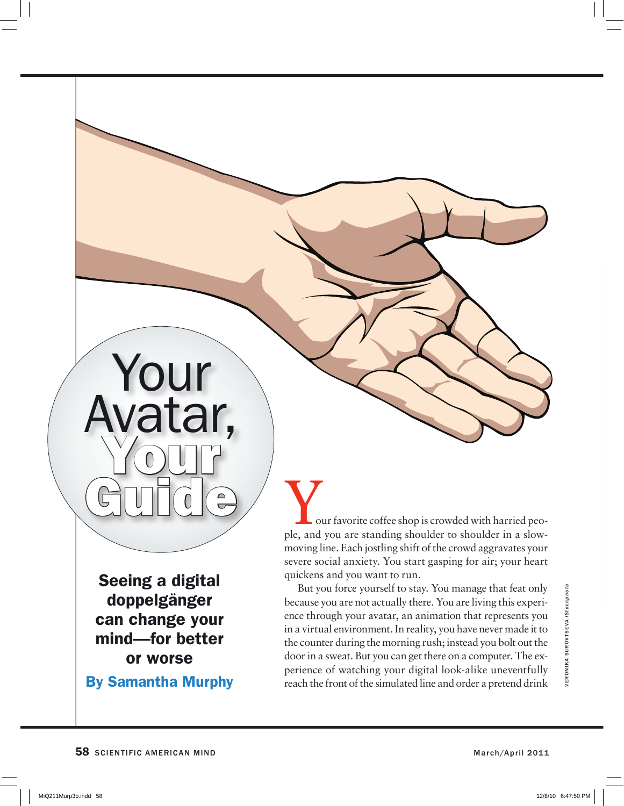Seeing a digital doppelgänger can change your mind—for better or worse

Your

Avatar,

Your

Guide

By Samantha Murphy

our favorite coffee shop is crowded with harried people, and you are standing shoulder to shoulder in a slowmoving line. Each jostling shift of the crowd aggravates your severe social anxiety. You start gasping for air; your heart quickens and you want to run.

But you force yourself to stay. You manage that feat only because you are not actually there. You are living this experience through your avatar, an animation that represents you in a virtual environment. In reality, you have never made it to the counter during the morning rush; instead you bolt out the door in a sweat. But you can get there on a computer. The experience of watching your digital look-alike uneventfully reach the front of the simulated line and order a pretend drink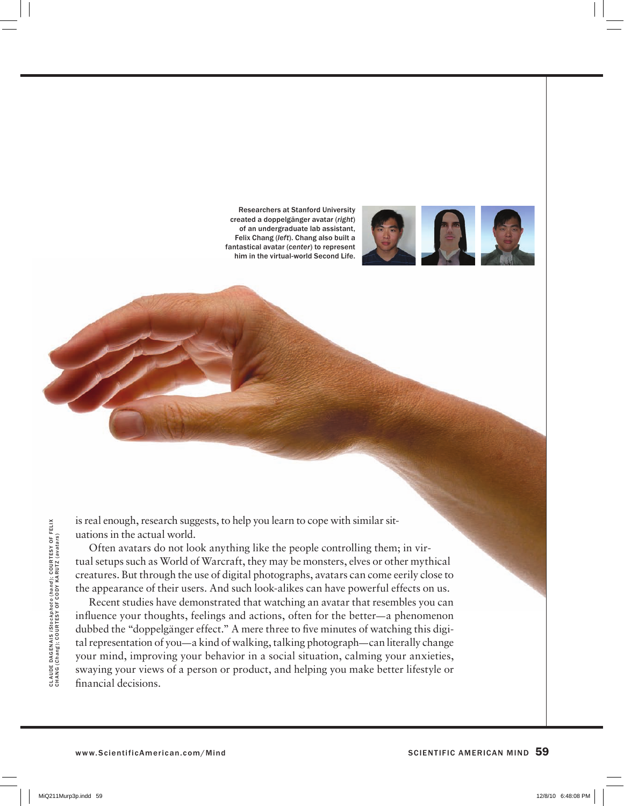Researchers at Stanford University created a doppelgänger avatar (*right*) of an undergraduate lab assistant, Felix Chang (*left*). Chang also built a fantastical avatar (*center*) to represent him in the virtual-world Second Life.



is real enough, research suggests, to help you learn to cope with similar situations in the actual world.

Often avatars do not look anything like the people controlling them; in virtual setups such as World of Warcraft, they may be monsters, elves or other mythical creatures. But through the use of digital photographs, avatars can come eerily close to the appearance of their users. And such look-alikes can have powerful effects on us.

Recent studies have demonstrated that watching an avatar that resembles you can influence your thoughts, feelings and actions, often for the better—a phenomenon dubbed the "doppelgänger effect." A mere three to five minutes of watching this digital representation of you—a kind of walking, talking photograph—can literally change your mind, improving your behavior in a social situation, calming your anxieties, swaying your views of a person or product, and helping you make better lifestyle or financial decisions.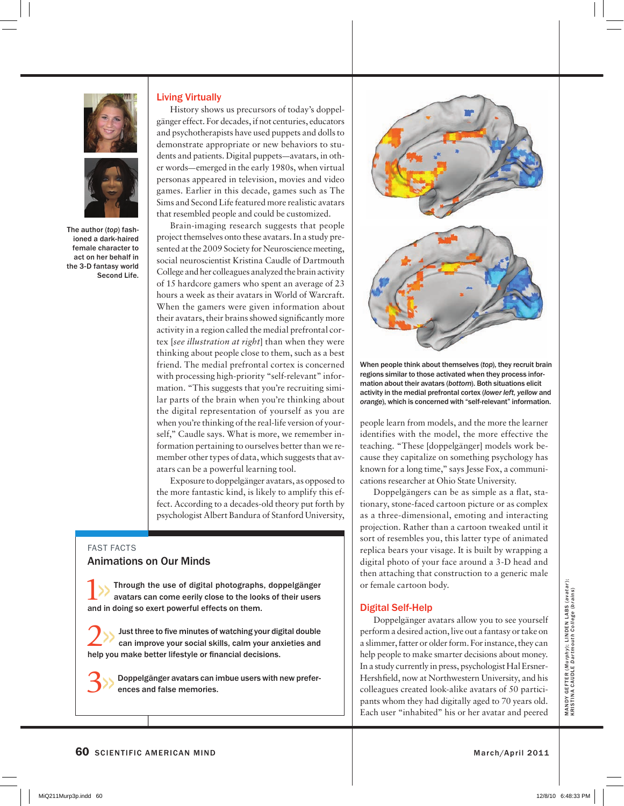



The author (*top*) fashioned a dark-haired female character to act on her behalf in the 3-D fantasy world Second Life.

### Living Virtually

History shows us precursors of today's doppelgänger effect. For decades, if not centuries, educators and psychotherapists have used puppets and dolls to demonstrate appropriate or new behaviors to students and patients. Digital puppets—avatars, in other words—emerged in the early 1980s, when virtual personas appeared in television, movies and video games. Earlier in this decade, games such as The Sims and Second Life featured more realistic avatars that resembled people and could be customized.

Brain-imaging research suggests that people project themselves onto these avatars. In a study presented at the 2009 Society for Neuroscience meeting, social neuroscientist Kristina Caudle of Dartmouth College and her colleagues analyzed the brain activity of 15 hardcore gamers who spent an average of 23 hours a week as their avatars in World of Warcraft. When the gamers were given information about their avatars, their brains showed significantly more activity in a region called the medial prefrontal cortex [*see illustration at right*] than when they were thinking about people close to them, such as a best friend. The medial prefrontal cortex is concerned with processing high-priority "self-relevant" information. "This suggests that you're recruiting similar parts of the brain when you're thinking about the digital representation of yourself as you are when you're thinking of the real-life version of yourself," Caudle says. What is more, we remember information pertaining to ourselves better than we remember other types of data, which suggests that avatars can be a powerful learning tool.

Exposure to doppelgänger avatars, as opposed to the more fantastic kind, is likely to amplify this effect. According to a decades-old theory put forth by psychologist Albert Bandura of Stanford University,

### FAST FACTS Animations on Our Minds

Through the use of digital photographs, doppelgänger avatars can come eerily close to the looks of their users and in doing so exert powerful effects on them.

Just three to five minutes of watching your digital double can improve your social skills, calm your anxieties and help you make better lifestyle or financial decisions.

> 3>> Doppelgänger avatars can imbue users with new preferences and false memories.



When people think about themselves (*top*), they recruit brain regions similar to those activated when they process information about their avatars (*bottom*). Both situations elicit activity in the medial prefrontal cortex (*lower left, yellow* and *orange*), which is concerned with "self-relevant" information.

people learn from models, and the more the learner identifies with the model, the more effective the teaching. "These [doppelgänger] models work because they capitalize on something psychology has known for a long time," says Jesse Fox, a communications researcher at Ohio State University.

Doppelgängers can be as simple as a flat, stationary, stone-faced cartoon picture or as complex as a three-dimensional, emoting and interacting projection. Rather than a cartoon tweaked until it sort of resembles you, this latter type of animated replica bears your visage. It is built by wrapping a digital photo of your face around a 3-D head and then attaching that construction to a generic male or female cartoon body.

## Digital Self-Help

Doppelgänger avatars allow you to see yourself perform a desired action, live out a fantasy or take on a slimmer, fatter or older form. For instance, they can help people to make smarter decisions about money. In a study currently in press, psychologist Hal Ersner-Hershfield, now at Northwestern University, and his colleagues created look-alike avatars of 50 participants whom they had digitally aged to 70 years old. Each user "inhabited" his or her avatar and peered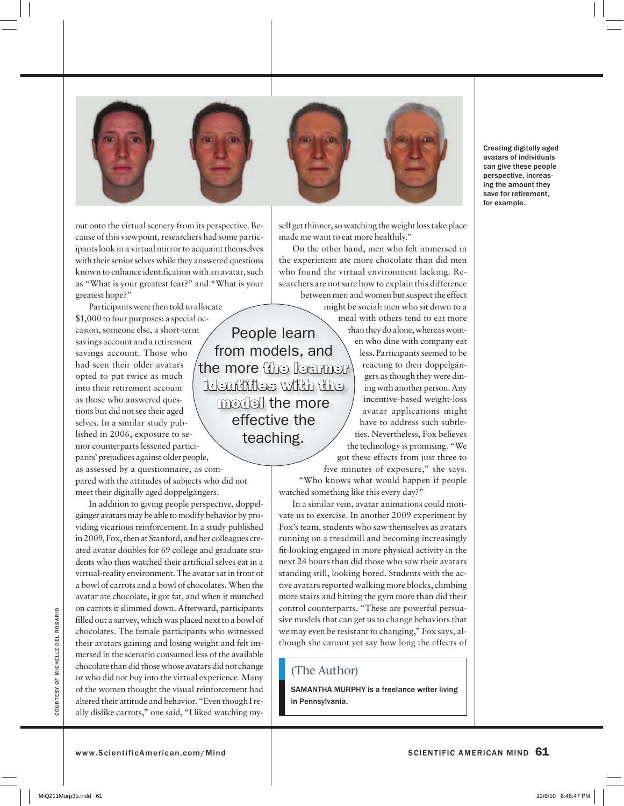

People learn

identifies with the model the more effective the teaching.

out onto the virtual scenery from its perspective. Because of this viewpoint, researchers had some participants look in a virtual mirror to acquaint themselves with their senior selves while they answered questions known to enhance identification with an avatar, such as "What is your greatest fear?" and "What is your greatest hope?"

Participants were then told to allocate

\$1,000 to four purposes: a special occasion, someone else, a short-term savings account and a retirement savings account. Those who had seen their older avatars opted to put twice as much into their retirement account as those who answered questions but did not see their aged selves. In a similar study published in 2006, exposure to senior counterparts lessened participants' prejudices against older people, the more the learner

as assessed by a questionnaire, as compared with the attitudes of subjects who did not meet their digitally aged doppelgängers.

In addition to giving people perspective, doppelgänger avatars may be able to modify behavior by providing vicarious reinforcement. In a study published in 2009, Fox, then at Stanford, and her colleagues created avatar doubles for 69 college and graduate students who then watched their artificial selves eat in a virtual-reality environment. The avatar sat in front of a bowl of carrots and a bowl of chocolates. When the avatar ate chocolate, it got fat, and when it munched on carrots it slimmed down. Afterward, participants filled out a survey, which was placed next to a bowl of chocolates. The female participants who witnessed their avatars gaining and losing weight and felt immersed in the scenario consumed less of the available chocolate than did those whose avatars did not change or who did not buy into the virtual experience. Many of the women thought the visual reinforcement had altered their attitude and behavior. "Even though I really dislike carrots," one said, "I liked watching myself get thinner, so watching the weight loss take place made me want to eat more healthily."

On the other hand, men who felt immersed in the experiment ate more chocolate than did men who found the virtual environment lacking. Researchers are not sure how to explain this difference between men and women but suspect the effect

might be social: men who sit down to a meal with others tend to eat more than they do alone, whereas women who dine with company eat from models, and

less. Participants seemed to be reacting to their doppelgängers as though they were dining with another person. Any incentive-based weight-loss avatar applications might have to address such subtleties. Nevertheless, Fox believes the technology is promising. "We got these effects from just three to five minutes of exposure," she says.

"Who knows what would happen if people watched something like this every day?"

In a similar vein, avatar animations could motivate us to exercise. In another 2009 experiment by Fox's team, students who saw themselves as avatars running on a treadmill and becoming increasingly fit-looking engaged in more physical activity in the next 24 hours than did those who saw their avatars standing still, looking bored. Students with the active avatars reported walking more blocks, climbing more stairs and hitting the gym more than did their control counterparts. "These are powerful persuasive models that can get us to change behaviors that we may even be resistant to changing," Fox says, although she cannot yet say how long the effects of

## (The Author)

SAMANTHA MURPHY is a freelance writer living in Pennsylvania.

Creating digitally aged avatars of individuals can give these people perspective, increasing the amount they save for retirement, for example.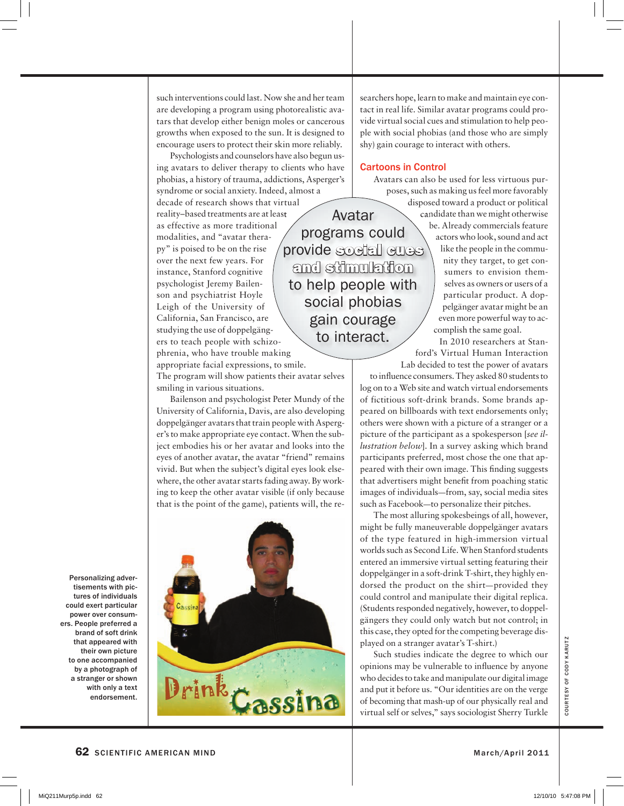such interventions could last. Now she and her team are developing a program using photorealistic avatars that develop either benign moles or cancerous growths when exposed to the sun. It is designed to encourage users to protect their skin more reliably.

Psychologists and counselors have also begun using avatars to deliver therapy to clients who have phobias, a history of trauma, addictions, Asperger's syndrome or social anxiety. Indeed, almost a

decade of research shows that virtual reality–based treatments are at least as effective as more traditional modalities, and "avatar therapy" is poised to be on the rise over the next few years. For instance, Stanford cognitive psychologist Jeremy Bailenson and psychiatrist Hoyle Leigh of the University of California, San Francisco, are studying the use of doppelgängers to teach people with schizophrenia, who have trouble making

appropriate facial expressions, to smile. The program will show patients their avatar selves smiling in various situations.

Bailenson and psychologist Peter Mundy of the University of California, Davis, are also developing doppelgänger avatars that train people with Asperger's to make appropriate eye contact. When the subject embodies his or her avatar and looks into the eyes of another avatar, the avatar "friend" remains vivid. But when the subject's digital eyes look elsewhere, the other avatar starts fading away. By working to keep the other avatar visible (if only because that is the point of the game), patients will, the re-

Personalizing advertisements with pictures of individuals could exert particular power over consumers. People preferred a brand of soft drink that appeared with their own picture to one accompanied by a photograph of a stranger or shown with only a text endorsement.



searchers hope, learn to make and maintain eye contact in real life. Similar avatar programs could provide virtual social cues and stimulation to help people with social phobias (and those who are simply shy) gain courage to interact with others.

#### Cartoons in Control

Avatars can also be used for less virtuous purposes, such as making us feel more favorably

Avatar programs could provide social cues and stimulation to help people with social phobias gain courage to interact.

disposed toward a product or political candidate than we might otherwise be. Already commercials feature actors who look, sound and act like the people in the community they target, to get consumers to envision themselves as owners or users of a particular product. A doppelgänger avatar might be an even more powerful way to accomplish the same goal.

In 2010 researchers at Stanford's Virtual Human Interaction Lab decided to test the power of avatars

to influence consumers. They asked 80 students to log on to a Web site and watch virtual endorsements of fictitious soft-drink brands. Some brands appeared on billboards with text endorsements only; others were shown with a picture of a stranger or a picture of the participant as a spokesperson [*see illustration below*]. In a survey asking which brand participants preferred, most chose the one that appeared with their own image. This finding suggests that advertisers might benefit from poaching static images of individuals—from, say, social media sites such as Facebook—to personalize their pitches.

The most alluring spokesbeings of all, however, might be fully maneuverable doppelgänger avatars of the type featured in high-immersion virtual worlds such as Second Life. When Stanford students entered an immersive virtual setting featuring their doppelgänger in a soft-drink T-shirt, they highly endorsed the product on the shirt—provided they could control and manipulate their digital replica. (Students responded negatively, however, to doppelgängers they could only watch but not control; in this case, they opted for the competing beverage displayed on a stranger avatar's T-shirt.)

Such studies indicate the degree to which our opinions may be vulnerable to influence by anyone who decides to take and manipulate our digital image and put it before us. "Our identities are on the verge of becoming that mash-up of our physically real and virtual self or selves," says sociologist Sherry Turkle